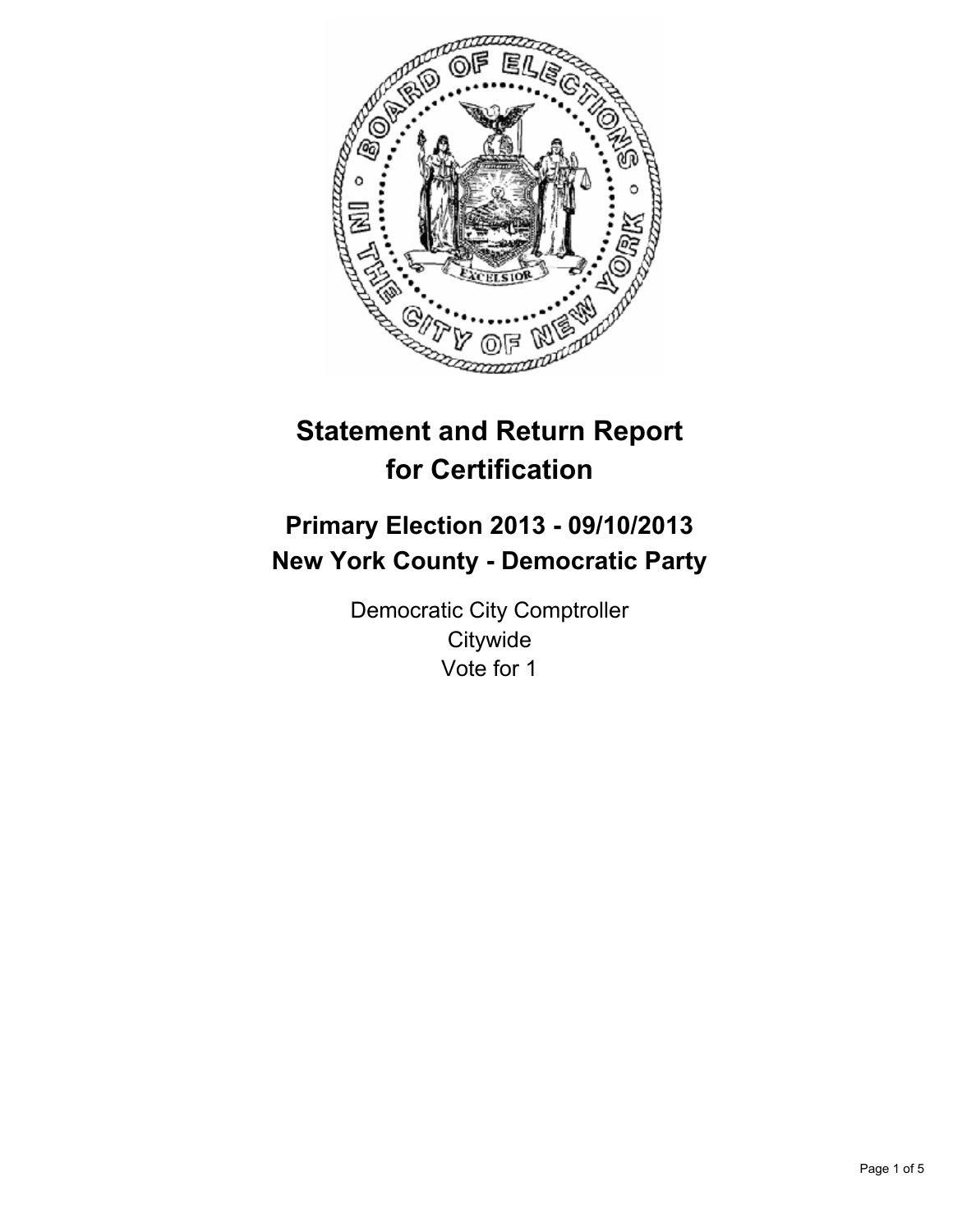

# **Statement and Return Report for Certification**

# **Primary Election 2013 - 09/10/2013 New York County - Democratic Party**

Democratic City Comptroller **Citywide** Vote for 1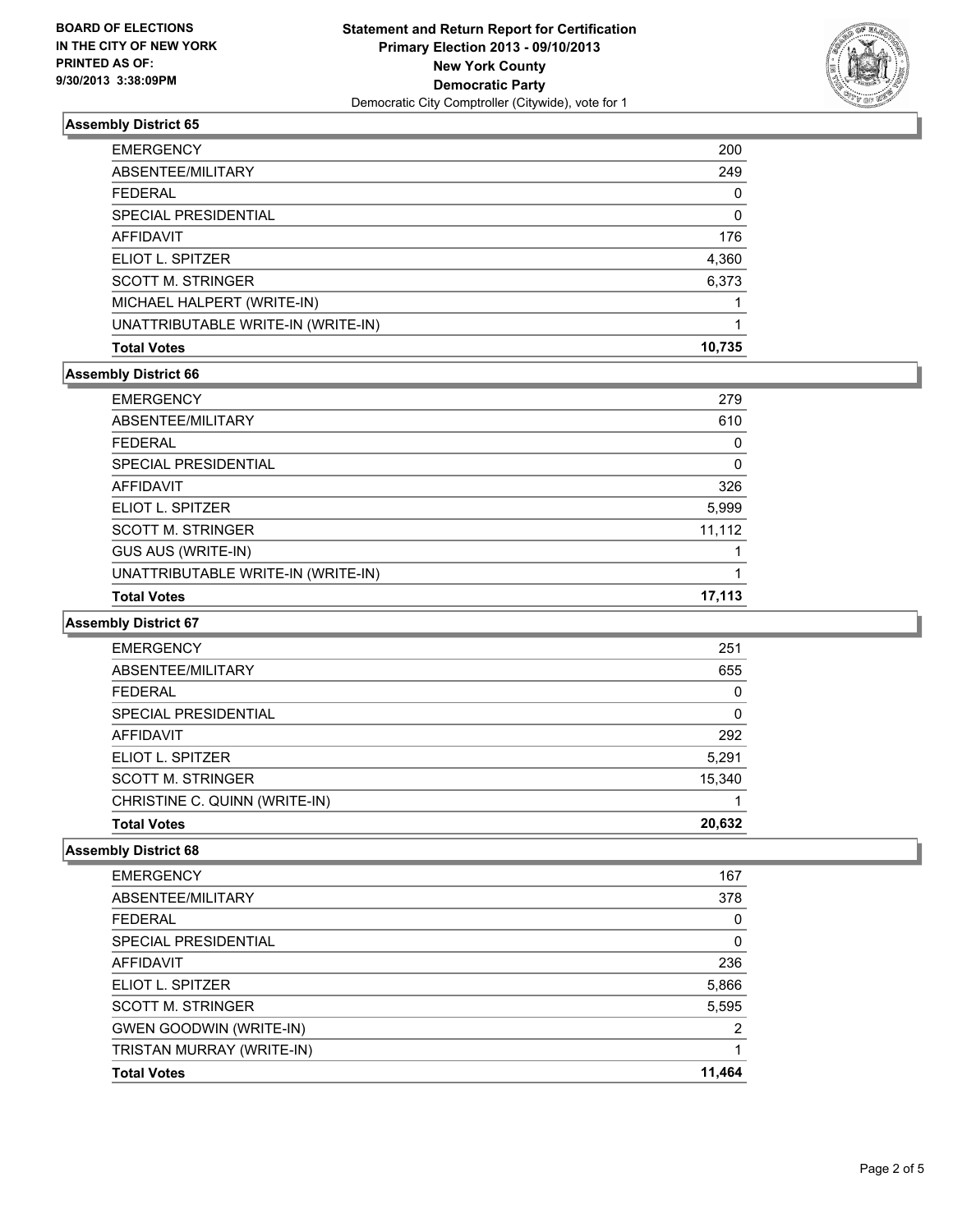

## **Assembly District 65**

| <b>Total Votes</b>                 | 10.735   |
|------------------------------------|----------|
| UNATTRIBUTABLE WRITE-IN (WRITE-IN) |          |
| MICHAEL HALPERT (WRITE-IN)         |          |
| <b>SCOTT M. STRINGER</b>           | 6,373    |
| ELIOT L. SPITZER                   | 4,360    |
| <b>AFFIDAVIT</b>                   | 176      |
| <b>SPECIAL PRESIDENTIAL</b>        | $\Omega$ |
| <b>FEDERAL</b>                     | $\Omega$ |
| ABSENTEE/MILITARY                  | 249      |
| <b>EMERGENCY</b>                   | 200      |

### **Assembly District 66**

| <b>EMERGENCY</b>                   | 279    |
|------------------------------------|--------|
| ABSENTEE/MILITARY                  | 610    |
| <b>FEDERAL</b>                     | 0      |
| SPECIAL PRESIDENTIAL               | 0      |
| <b>AFFIDAVIT</b>                   | 326    |
| ELIOT L. SPITZER                   | 5,999  |
| <b>SCOTT M. STRINGER</b>           | 11,112 |
| GUS AUS (WRITE-IN)                 |        |
| UNATTRIBUTABLE WRITE-IN (WRITE-IN) |        |
| <b>Total Votes</b>                 | 17,113 |
|                                    |        |

### **Assembly District 67**

| <b>EMERGENCY</b>              | 251    |
|-------------------------------|--------|
| ABSENTEE/MILITARY             | 655    |
| <b>FEDERAL</b>                | 0      |
| SPECIAL PRESIDENTIAL          | 0      |
| <b>AFFIDAVIT</b>              | 292    |
| ELIOT L. SPITZER              | 5,291  |
| <b>SCOTT M. STRINGER</b>      | 15,340 |
| CHRISTINE C. QUINN (WRITE-IN) |        |
| <b>Total Votes</b>            | 20,632 |

#### **Assembly District 68**

| SPECIAL PRESIDENTIAL<br>AFFIDAVIT | $\Omega$<br>236 |
|-----------------------------------|-----------------|
| ELIOT L. SPITZER                  | 5,866           |
| <b>SCOTT M. STRINGER</b>          | 5,595           |
| <b>GWEN GOODWIN (WRITE-IN)</b>    | 2               |
| TRISTAN MURRAY (WRITE-IN)         |                 |
| <b>Total Votes</b>                | 11,464          |
|                                   |                 |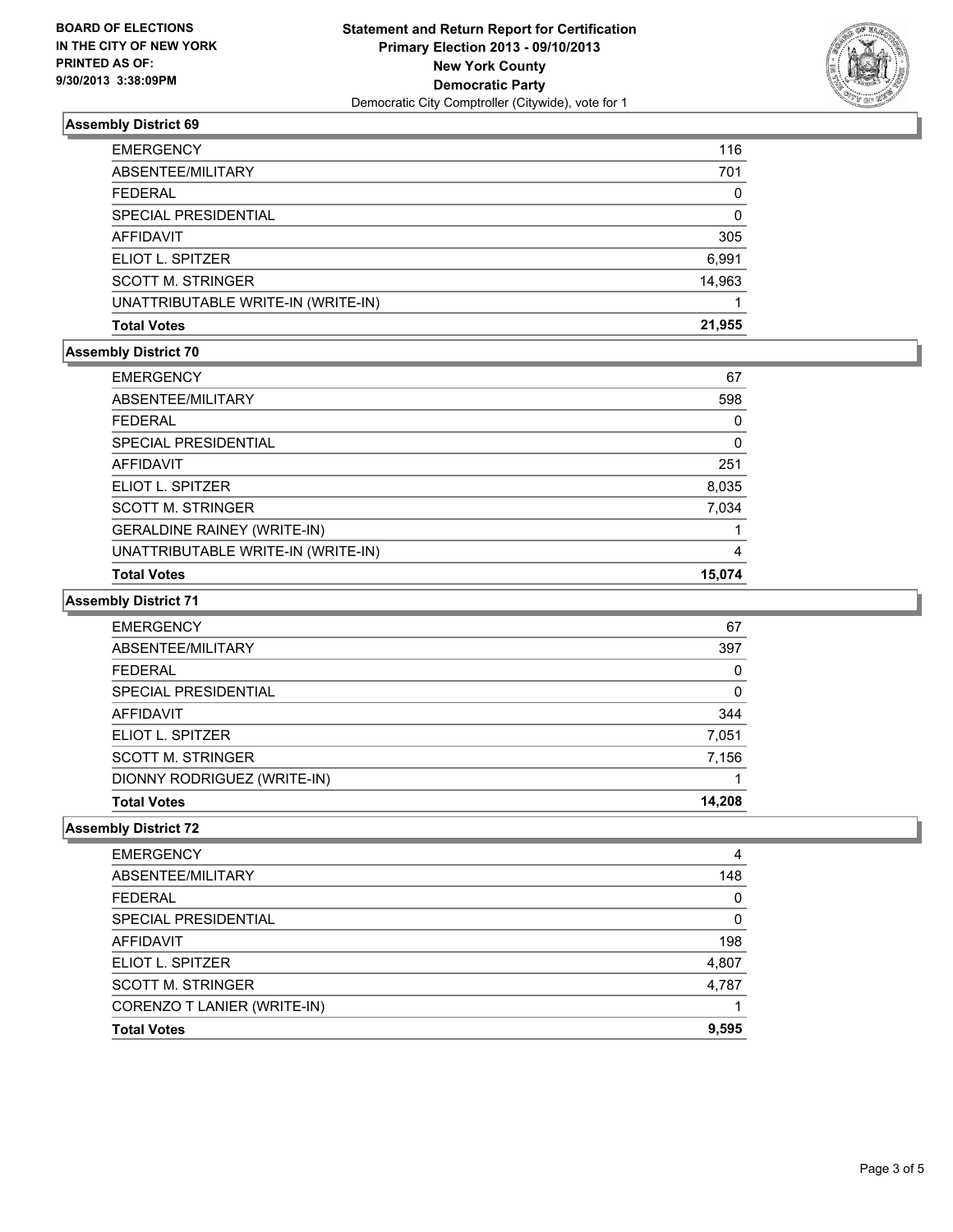

## **Assembly District 69**

| <b>EMERGENCY</b>                   | 116      |
|------------------------------------|----------|
| ABSENTEE/MILITARY                  | 701      |
| <b>FEDERAL</b>                     | $\Omega$ |
| SPECIAL PRESIDENTIAL               | 0        |
| AFFIDAVIT                          | 305      |
| ELIOT L. SPITZER                   | 6,991    |
| <b>SCOTT M. STRINGER</b>           | 14,963   |
| UNATTRIBUTABLE WRITE-IN (WRITE-IN) |          |
| <b>Total Votes</b>                 | 21,955   |

## **Assembly District 70**

| <b>EMERGENCY</b>                   | 67          |
|------------------------------------|-------------|
| ABSENTEE/MILITARY                  | 598         |
| <b>FFDFRAL</b>                     | 0           |
| <b>SPECIAL PRESIDENTIAL</b>        | $\mathbf 0$ |
| <b>AFFIDAVIT</b>                   | 251         |
| ELIOT L. SPITZER                   | 8,035       |
| <b>SCOTT M. STRINGER</b>           | 7,034       |
| <b>GERALDINE RAINEY (WRITE-IN)</b> |             |
| UNATTRIBUTABLE WRITE-IN (WRITE-IN) | 4           |
| <b>Total Votes</b>                 | 15.074      |

## **Assembly District 71**

| <b>EMERGENCY</b>            | 67     |
|-----------------------------|--------|
| ABSENTEE/MILITARY           | 397    |
| <b>FEDERAL</b>              | 0      |
| SPECIAL PRESIDENTIAL        | 0      |
| AFFIDAVIT                   | 344    |
| ELIOT L. SPITZER            | 7,051  |
| <b>SCOTT M. STRINGER</b>    | 7,156  |
| DIONNY RODRIGUEZ (WRITE-IN) |        |
| <b>Total Votes</b>          | 14.208 |

#### **Assembly District 72**

| <b>EMERGENCY</b>            | 4     |
|-----------------------------|-------|
| ABSENTEE/MILITARY           | 148   |
| <b>FEDERAL</b>              | 0     |
| SPECIAL PRESIDENTIAL        | 0     |
| AFFIDAVIT                   | 198   |
| ELIOT L. SPITZER            | 4,807 |
| <b>SCOTT M. STRINGER</b>    | 4,787 |
| CORENZO T LANIER (WRITE-IN) |       |
| <b>Total Votes</b>          | 9,595 |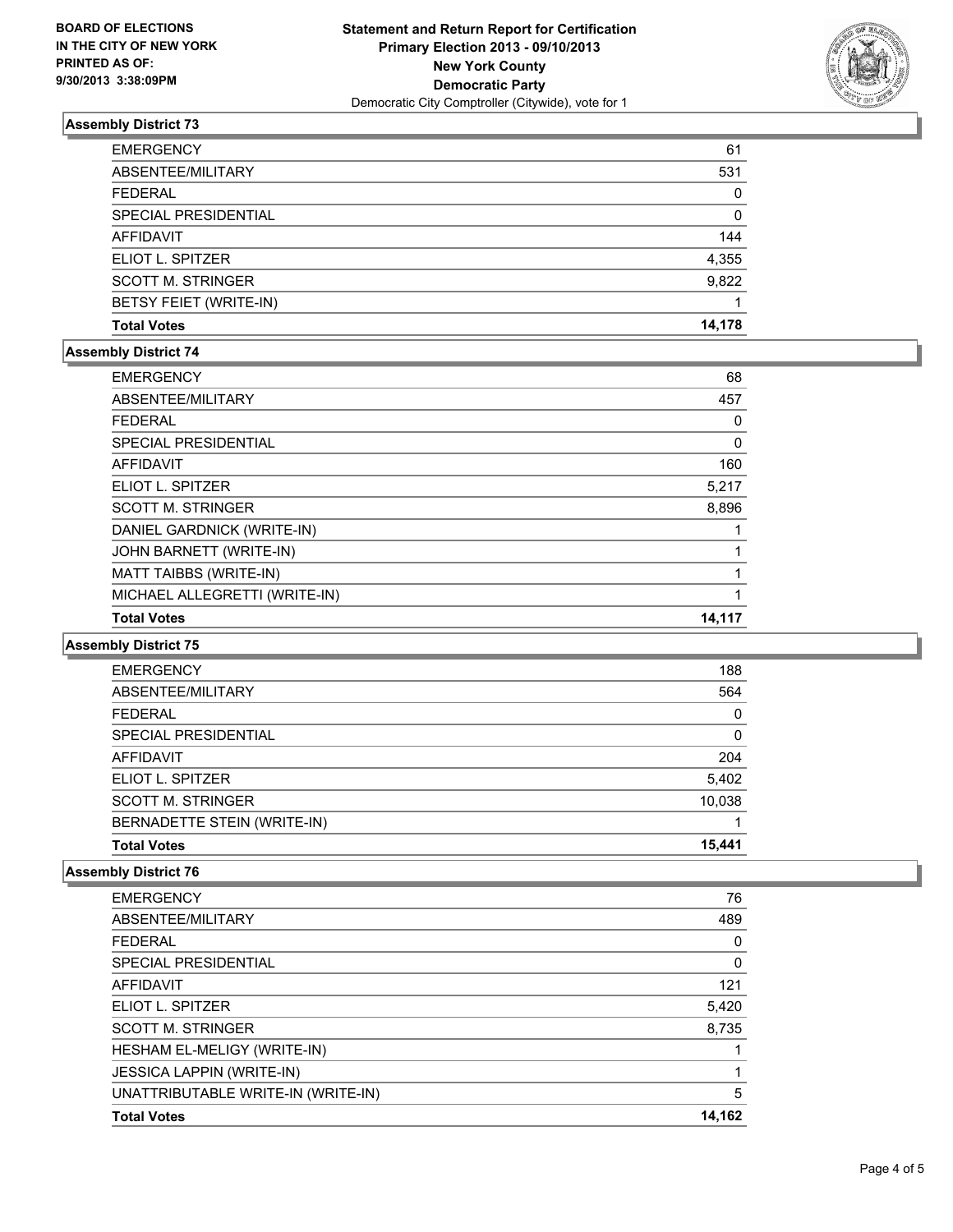

## **Assembly District 73**

| <b>EMERGENCY</b>         | 61     |
|--------------------------|--------|
| ABSENTEE/MILITARY        | 531    |
| <b>FEDERAL</b>           | 0      |
| SPECIAL PRESIDENTIAL     | 0      |
| <b>AFFIDAVIT</b>         | 144    |
| ELIOT L. SPITZER         | 4,355  |
| <b>SCOTT M. STRINGER</b> | 9,822  |
| BETSY FEIET (WRITE-IN)   |        |
| <b>Total Votes</b>       | 14,178 |

### **Assembly District 74**

| <b>EMERGENCY</b>              | 68       |
|-------------------------------|----------|
| ABSENTEE/MILITARY             | 457      |
| <b>FEDERAL</b>                | 0        |
| SPECIAL PRESIDENTIAL          | $\Omega$ |
| <b>AFFIDAVIT</b>              | 160      |
| ELIOT L. SPITZER              | 5,217    |
| <b>SCOTT M. STRINGER</b>      | 8,896    |
| DANIEL GARDNICK (WRITE-IN)    |          |
| JOHN BARNETT (WRITE-IN)       |          |
| MATT TAIBBS (WRITE-IN)        |          |
| MICHAEL ALLEGRETTI (WRITE-IN) |          |
| <b>Total Votes</b>            | 14,117   |
|                               |          |

#### **Assembly District 75**

| BERNADETTE STEIN (WRITE-IN)<br><b>Total Votes</b> | 15.441   |
|---------------------------------------------------|----------|
| <b>SCOTT M. STRINGER</b>                          | 10.038   |
| ELIOT L. SPITZER                                  | 5,402    |
| AFFIDAVIT                                         | 204      |
| SPECIAL PRESIDENTIAL                              | 0        |
| <b>FEDERAL</b>                                    | $\Omega$ |
| ABSENTEE/MILITARY                                 | 564      |
| <b>EMERGENCY</b>                                  | 188      |

## **Assembly District 76**

| <b>Total Votes</b>                 | 14.162 |
|------------------------------------|--------|
| UNATTRIBUTABLE WRITE-IN (WRITE-IN) | 5      |
| <b>JESSICA LAPPIN (WRITE-IN)</b>   |        |
| HESHAM EL-MELIGY (WRITE-IN)        |        |
| <b>SCOTT M. STRINGER</b>           | 8,735  |
| ELIOT L. SPITZER                   | 5,420  |
| <b>AFFIDAVIT</b>                   | 121    |
| SPECIAL PRESIDENTIAL               | 0      |
| <b>FEDERAL</b>                     | 0      |
| ABSENTEE/MILITARY                  | 489    |
| <b>EMERGENCY</b>                   | 76     |